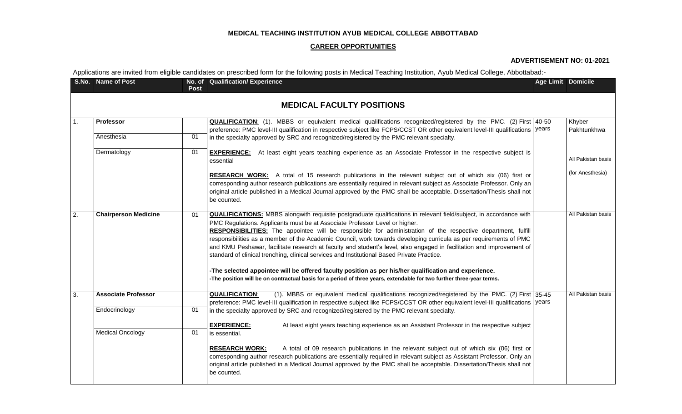## **MEDICAL TEACHING INSTITUTION AYUB MEDICAL COLLEGE ABBOTTABAD**

#### **CAREER OPPORTUNITIES**

### **ADVERTISEMENT NO: 01-2021**

Applications are invited from eligible candidates on prescribed form for the following posts in Medical Teaching Institution, Ayub Medical College, Abbottabad:-

|                                  | S.No. Name of Post          | Post | No. of Qualification/ Experience                                                                                                                                                                                                                                                                                                                                                                                                                                                                                                                                                                                                                                                                                                                                                                                                                                                                        | <b>Age Limit Domicile</b> |                       |  |  |  |  |  |
|----------------------------------|-----------------------------|------|---------------------------------------------------------------------------------------------------------------------------------------------------------------------------------------------------------------------------------------------------------------------------------------------------------------------------------------------------------------------------------------------------------------------------------------------------------------------------------------------------------------------------------------------------------------------------------------------------------------------------------------------------------------------------------------------------------------------------------------------------------------------------------------------------------------------------------------------------------------------------------------------------------|---------------------------|-----------------------|--|--|--|--|--|
| <b>MEDICAL FACULTY POSITIONS</b> |                             |      |                                                                                                                                                                                                                                                                                                                                                                                                                                                                                                                                                                                                                                                                                                                                                                                                                                                                                                         |                           |                       |  |  |  |  |  |
| 1.                               | <b>Professor</b>            |      | <b>QUALIFICATION:</b> (1). MBBS or equivalent medical qualifications recognized/registered by the PMC. (2) First 40-50<br>preference: PMC level-III qualification in respective subject like FCPS/CCST OR other equivalent level-III qualifications   years                                                                                                                                                                                                                                                                                                                                                                                                                                                                                                                                                                                                                                             |                           | Khyber<br>Pakhtunkhwa |  |  |  |  |  |
|                                  | Anesthesia                  | 01   | in the specialty approved by SRC and recognized/registered by the PMC relevant specialty.                                                                                                                                                                                                                                                                                                                                                                                                                                                                                                                                                                                                                                                                                                                                                                                                               |                           |                       |  |  |  |  |  |
|                                  | Dermatology                 | 01   | <b>EXPERIENCE:</b> At least eight years teaching experience as an Associate Professor in the respective subject is<br>essential                                                                                                                                                                                                                                                                                                                                                                                                                                                                                                                                                                                                                                                                                                                                                                         |                           | All Pakistan basis    |  |  |  |  |  |
|                                  |                             |      | RESEARCH WORK: A total of 15 research publications in the relevant subject out of which six (06) first or<br>corresponding author research publications are essentially required in relevant subject as Associate Professor. Only an<br>original article published in a Medical Journal approved by the PMC shall be acceptable. Dissertation/Thesis shall not<br>be counted.                                                                                                                                                                                                                                                                                                                                                                                                                                                                                                                           |                           | (for Anesthesia)      |  |  |  |  |  |
| 2.                               | <b>Chairperson Medicine</b> | 01   | <b>QUALIFICATIONS:</b> MBBS alongwith requisite postgraduate qualifications in relevant field/subject, in accordance with<br>PMC Regulations. Applicants must be at Associate Professor Level or higher.<br>RESPONSIBILITIES: The appointee will be responsible for administration of the respective department, fulfill<br>responsibilities as a member of the Academic Council, work towards developing curricula as per requirements of PMC<br>and KMU Peshawar, facilitate research at faculty and student's level, also engaged in facilitation and improvement of<br>standard of clinical trenching, clinical services and Institutional Based Private Practice.<br>-The selected appointee will be offered faculty position as per his/her qualification and experience.<br>-The position will be on contractual basis for a period of three years, extendable for two further three-year terms. |                           | All Pakistan basis    |  |  |  |  |  |
| 3.                               | <b>Associate Professor</b>  |      | (1). MBBS or equivalent medical qualifications recognized/registered by the PMC. (2) First 35-45<br><b>QUALIFICATION:</b><br>preference: PMC level-III qualification in respective subject like FCPS/CCST OR other equivalent level-III qualifications   years                                                                                                                                                                                                                                                                                                                                                                                                                                                                                                                                                                                                                                          |                           | All Pakistan basis    |  |  |  |  |  |
|                                  | Endocrinology               | 01   | in the specialty approved by SRC and recognized/registered by the PMC relevant specialty.                                                                                                                                                                                                                                                                                                                                                                                                                                                                                                                                                                                                                                                                                                                                                                                                               |                           |                       |  |  |  |  |  |
|                                  | <b>Medical Oncology</b>     | 01   | <b>EXPERIENCE:</b><br>At least eight years teaching experience as an Assistant Professor in the respective subject<br>is essential.                                                                                                                                                                                                                                                                                                                                                                                                                                                                                                                                                                                                                                                                                                                                                                     |                           |                       |  |  |  |  |  |
|                                  |                             |      | A total of 09 research publications in the relevant subject out of which six (06) first or<br><b>RESEARCH WORK:</b><br>corresponding author research publications are essentially required in relevant subject as Assistant Professor. Only an<br>original article published in a Medical Journal approved by the PMC shall be acceptable. Dissertation/Thesis shall not<br>be counted.                                                                                                                                                                                                                                                                                                                                                                                                                                                                                                                 |                           |                       |  |  |  |  |  |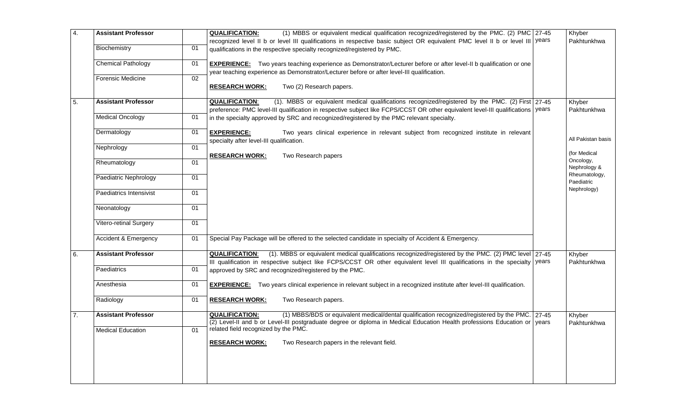| $\overline{4}$ . | <b>Assistant Professor</b> |    | (1) MBBS or equivalent medical qualification recognized/registered by the PMC. (2) PMC 27-45<br><b>QUALIFICATION:</b>                                                                                                                                                                                                                                                                                                                                                                                                                                                    | Khyber                                     |
|------------------|----------------------------|----|--------------------------------------------------------------------------------------------------------------------------------------------------------------------------------------------------------------------------------------------------------------------------------------------------------------------------------------------------------------------------------------------------------------------------------------------------------------------------------------------------------------------------------------------------------------------------|--------------------------------------------|
|                  |                            |    | recognized level II b or level III qualifications in respective basic subject OR equivalent PMC level II b or level III vears                                                                                                                                                                                                                                                                                                                                                                                                                                            | Pakhtunkhwa                                |
|                  | Biochemistry               | 01 | qualifications in the respective specialty recognized/registered by PMC.                                                                                                                                                                                                                                                                                                                                                                                                                                                                                                 |                                            |
|                  | <b>Chemical Pathology</b>  | 01 | <b>EXPERIENCE:</b> Two years teaching experience as Demonstrator/Lecturer before or after level-II b qualification or one                                                                                                                                                                                                                                                                                                                                                                                                                                                |                                            |
|                  |                            |    | year teaching experience as Demonstrator/Lecturer before or after level-III qualification.                                                                                                                                                                                                                                                                                                                                                                                                                                                                               |                                            |
|                  | <b>Forensic Medicine</b>   | 02 | Two (2) Research papers.<br><b>RESEARCH WORK:</b>                                                                                                                                                                                                                                                                                                                                                                                                                                                                                                                        |                                            |
| 5.               | <b>Assistant Professor</b> |    | (1). MBBS or equivalent medical qualifications recognized/registered by the PMC. (2) First 27-45<br><b>QUALIFICATION:</b><br>preference: PMC level-III qualification in respective subject like FCPS/CCST OR other equivalent level-III qualifications   years<br>in the specialty approved by SRC and recognized/registered by the PMC relevant specialty.<br><b>EXPERIENCE:</b><br>Two years clinical experience in relevant subject from recognized institute in relevant<br>specialty after level-III qualification.<br>Two Research papers<br><b>RESEARCH WORK:</b> | Khyber<br>Pakhtunkhwa                      |
|                  | <b>Medical Oncology</b>    | 01 |                                                                                                                                                                                                                                                                                                                                                                                                                                                                                                                                                                          |                                            |
|                  | Dermatology                | 01 |                                                                                                                                                                                                                                                                                                                                                                                                                                                                                                                                                                          | All Pakistan basis                         |
|                  | Nephrology                 | 01 |                                                                                                                                                                                                                                                                                                                                                                                                                                                                                                                                                                          | (for Medical                               |
|                  | Rheumatology               | 01 |                                                                                                                                                                                                                                                                                                                                                                                                                                                                                                                                                                          | Oncology,<br>Nephrology &                  |
|                  | Paediatric Nephrology      | 01 |                                                                                                                                                                                                                                                                                                                                                                                                                                                                                                                                                                          | Rheumatology,<br>Paediatric<br>Nephrology) |
|                  | Paediatrics Intensivist    | 01 |                                                                                                                                                                                                                                                                                                                                                                                                                                                                                                                                                                          |                                            |
|                  | Neonatology                | 01 |                                                                                                                                                                                                                                                                                                                                                                                                                                                                                                                                                                          |                                            |
|                  | Vitero-retinal Surgery     | 01 |                                                                                                                                                                                                                                                                                                                                                                                                                                                                                                                                                                          |                                            |
|                  | Accident & Emergency       | 01 | Special Pay Package will be offered to the selected candidate in specialty of Accident & Emergency.                                                                                                                                                                                                                                                                                                                                                                                                                                                                      |                                            |
| 6.               | <b>Assistant Professor</b> |    | (1). MBBS or equivalent medical qualifications recognized/registered by the PMC. (2) PMC level 27-45<br><b>QUALIFICATION:</b><br>III qualification in respective subject like FCPS/CCST OR other equivalent level III qualifications in the specialty vears                                                                                                                                                                                                                                                                                                              | Khyber<br>Pakhtunkhwa                      |
|                  | Paediatrics                | 01 | approved by SRC and recognized/registered by the PMC.                                                                                                                                                                                                                                                                                                                                                                                                                                                                                                                    |                                            |
|                  | Anesthesia                 | 01 | <b>EXPERIENCE:</b> Two years clinical experience in relevant subject in a recognized institute after level-III qualification.                                                                                                                                                                                                                                                                                                                                                                                                                                            |                                            |
|                  | Radiology                  | 01 | Two Research papers.<br><b>RESEARCH WORK:</b>                                                                                                                                                                                                                                                                                                                                                                                                                                                                                                                            |                                            |
| 7.               | <b>Assistant Professor</b> |    | <b>QUALIFICATION:</b><br>(1) MBBS/BDS or equivalent medical/dental qualification recognized/registered by the PMC. 27-45<br>(2) Level-II and b or Level-III postgraduate degree or diploma in Medical Education Health professions Education or years                                                                                                                                                                                                                                                                                                                    | Khyber<br>Pakhtunkhwa                      |
|                  | <b>Medical Education</b>   | 01 | related field recognized by the PMC.                                                                                                                                                                                                                                                                                                                                                                                                                                                                                                                                     |                                            |
|                  |                            |    | <b>RESEARCH WORK:</b><br>Two Research papers in the relevant field.                                                                                                                                                                                                                                                                                                                                                                                                                                                                                                      |                                            |
|                  |                            |    |                                                                                                                                                                                                                                                                                                                                                                                                                                                                                                                                                                          |                                            |
|                  |                            |    |                                                                                                                                                                                                                                                                                                                                                                                                                                                                                                                                                                          |                                            |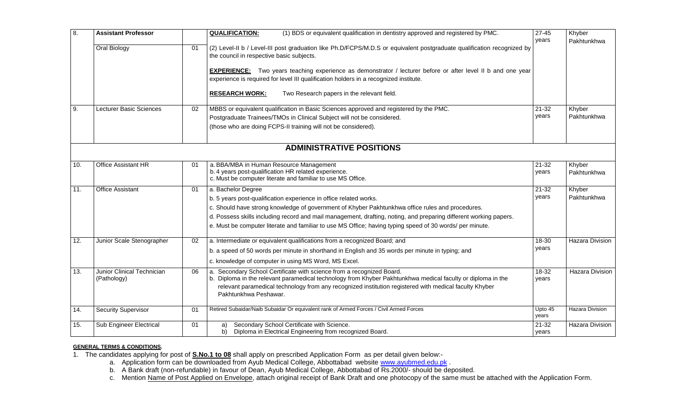| 8.                              | <b>Assistant Professor</b>                |    | (1) BDS or equivalent qualification in dentistry approved and registered by PMC.<br><b>QUALIFICATION:</b>                                                                                                                                                                                                               | $27 - 45$<br>years | Khyber<br>Pakhtunkhwa  |  |  |  |
|---------------------------------|-------------------------------------------|----|-------------------------------------------------------------------------------------------------------------------------------------------------------------------------------------------------------------------------------------------------------------------------------------------------------------------------|--------------------|------------------------|--|--|--|
|                                 | Oral Biology                              | 01 | (2) Level-II b / Level-III post graduation like Ph.D/FCPS/M.D.S or equivalent postgraduate qualification recognized by<br>the council in respective basic subjects.                                                                                                                                                     |                    |                        |  |  |  |
|                                 |                                           |    | <b>EXPERIENCE:</b> Two years teaching experience as demonstrator / lecturer before or after level II b and one year<br>experience is required for level III qualification holders in a recognized institute.                                                                                                            |                    |                        |  |  |  |
|                                 |                                           |    | Two Research papers in the relevant field.<br><b>RESEARCH WORK:</b>                                                                                                                                                                                                                                                     |                    |                        |  |  |  |
| 9.                              | Lecturer Basic Sciences                   | 02 | MBBS or equivalent qualification in Basic Sciences approved and registered by the PMC.                                                                                                                                                                                                                                  | 21-32              | Khyber                 |  |  |  |
|                                 |                                           |    | Postgraduate Trainees/TMOs in Clinical Subject will not be considered.                                                                                                                                                                                                                                                  | years              | Pakhtunkhwa            |  |  |  |
|                                 |                                           |    | (those who are doing FCPS-II training will not be considered).                                                                                                                                                                                                                                                          |                    |                        |  |  |  |
| <b>ADMINISTRATIVE POSITIONS</b> |                                           |    |                                                                                                                                                                                                                                                                                                                         |                    |                        |  |  |  |
| 10.                             | Office Assistant HR                       | 01 | a. BBA/MBA in Human Resource Management<br>b. 4 years post-qualification HR related experience.<br>c. Must be computer literate and familiar to use MS Office.                                                                                                                                                          | 21-32<br>years     | Khyber<br>Pakhtunkhwa  |  |  |  |
| 11.                             | <b>Office Assistant</b>                   | 01 | a. Bachelor Degree                                                                                                                                                                                                                                                                                                      | 21-32              | Khyber                 |  |  |  |
|                                 |                                           |    | b. 5 years post-qualification experience in office related works.                                                                                                                                                                                                                                                       | years              | Pakhtunkhwa            |  |  |  |
|                                 |                                           |    | c. Should have strong knowledge of government of Khyber Pakhtunkhwa office rules and procedures.                                                                                                                                                                                                                        |                    |                        |  |  |  |
|                                 |                                           |    | d. Possess skills including record and mail management, drafting, noting, and preparing different working papers.                                                                                                                                                                                                       |                    |                        |  |  |  |
|                                 |                                           |    | e. Must be computer literate and familiar to use MS Office; having typing speed of 30 words/ per minute.                                                                                                                                                                                                                |                    |                        |  |  |  |
| 12.                             | Junior Scale Stenographer                 | 02 | a. Intermediate or equivalent qualifications from a recognized Board; and                                                                                                                                                                                                                                               | 18-30              | Hazara Division        |  |  |  |
|                                 |                                           |    | b. a speed of 50 words per minute in shorthand in English and 35 words per minute in typing; and                                                                                                                                                                                                                        | years              |                        |  |  |  |
|                                 |                                           |    | c. knowledge of computer in using MS Word, MS Excel.                                                                                                                                                                                                                                                                    |                    |                        |  |  |  |
| 13.                             | Junior Clinical Technician<br>(Pathology) | 06 | a. Secondary School Certificate with science from a recognized Board.<br>b. Diploma in the relevant paramedical technology from Khyber Pakhtunkhwa medical faculty or diploma in the<br>relevant paramedical technology from any recognized institution registered with medical faculty Khyber<br>Pakhtunkhwa Peshawar. | $18-32$<br>vears   | <b>Hazara Division</b> |  |  |  |
| 14.                             | <b>Security Supervisor</b>                | 01 | Retired Subaidar/Naib Subaidar Or equivalent rank of Armed Forces / Civil Armed Forces                                                                                                                                                                                                                                  | Upto 45<br>years   | <b>Hazara Division</b> |  |  |  |
| 15.                             | Sub Engineer Electrical                   | 01 | Secondary School Certificate with Science.<br>a)<br>b)<br>Diploma in Electrical Engineering from recognized Board.                                                                                                                                                                                                      | $21 - 32$<br>years | Hazara Division        |  |  |  |

# **GENERAL TERMS & CONDITIONS.**

1. The candidates applying for post of **S.No.1 to 08** shall apply on prescribed Application Form as per detail given below:-

- a. Application form can be downloaded from Ayub Medical College, Abbottabad website [www.ayubmed.edu.pk](http://www.ayubmed.edu.pk/).
- b. A Bank draft (non-refundable) in favour of Dean, Ayub Medical College, Abbottabad of Rs.2000/- should be deposited.
- c. Mention Name of Post Applied on Envelope, attach original receipt of Bank Draft and one photocopy of the same must be attached with the Application Form.